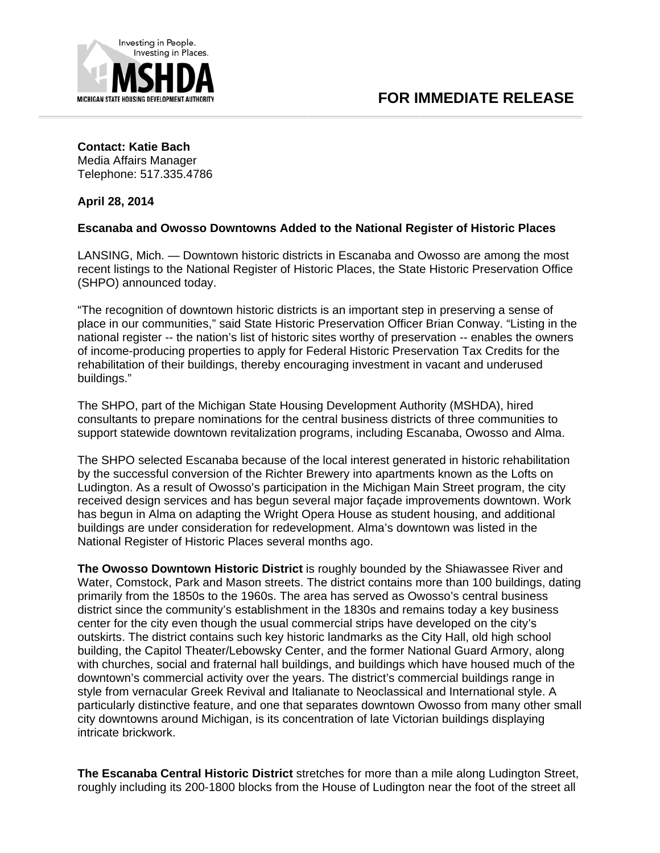

## **Contact: Katie Bach**

Media Affairs Manager Telephone: 517.335.4786

**April 28, 2014** 

## **Escanaba and Owosso Downtowns Added to the National Register of Historic Places**

LANSING, Mich. — Downtown historic districts in Escanaba and Owosso are among the most recent listings to the National Register of Historic Places, the State Historic Preservation Office (SHPO) announced today.

"The recognition of downtown historic districts is an important step in preserving a sense of place in our communities," said State Historic Preservation Officer Brian Conway. "Listing in the national register -- the nation's list of historic sites worthy of preservation -- enables the owners of income-producing properties to apply for Federal Historic Preservation Tax Credits for the rehabilitation of their buildings, thereby encouraging investment in vacant and underused buildings."

The SHPO, part of the Michigan State Housing Development Authority (MSHDA), hired consultants to prepare nominations for the central business districts of three communities to support statewide downtown revitalization programs, including Escanaba, Owosso and Alma.

The SHPO selected Escanaba because of the local interest generated in historic rehabilitation by the successful conversion of the Richter Brewery into apartments known as the Lofts on Ludington. As a result of Owosso's participation in the Michigan Main Street program, the city received design services and has begun several major façade improvements downtown. Work has begun in Alma on adapting the Wright Opera House as student housing, and additional buildings are under consideration for redevelopment. Alma's downtown was listed in the National Register of Historic Places several months ago.

**The Owosso Downtown Historic District** is roughly bounded by the Shiawassee River and Water, Comstock, Park and Mason streets. The district contains more than 100 buildings, dating primarily from the 1850s to the 1960s. The area has served as Owosso's central business district since the community's establishment in the 1830s and remains today a key business center for the city even though the usual commercial strips have developed on the city's outskirts. The district contains such key historic landmarks as the City Hall, old high school building, the Capitol Theater/Lebowsky Center, and the former National Guard Armory, along with churches, social and fraternal hall buildings, and buildings which have housed much of the downtown's commercial activity over the years. The district's commercial buildings range in style from vernacular Greek Revival and Italianate to Neoclassical and International style. A particularly distinctive feature, and one that separates downtown Owosso from many other small city downtowns around Michigan, is its concentration of late Victorian buildings displaying intricate brickwork.

**The Escanaba Central Historic District** stretches for more than a mile along Ludington Street, roughly including its 200-1800 blocks from the House of Ludington near the foot of the street all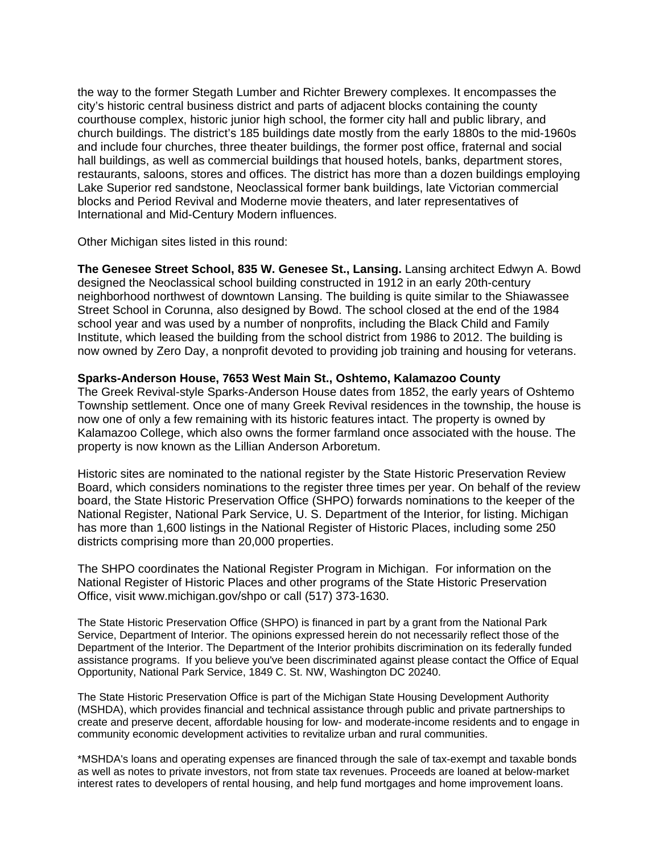the way to the former Stegath Lumber and Richter Brewery complexes. It encompasses the city's historic central business district and parts of adjacent blocks containing the county courthouse complex, historic junior high school, the former city hall and public library, and church buildings. The district's 185 buildings date mostly from the early 1880s to the mid-1960s and include four churches, three theater buildings, the former post office, fraternal and social hall buildings, as well as commercial buildings that housed hotels, banks, department stores, restaurants, saloons, stores and offices. The district has more than a dozen buildings employing Lake Superior red sandstone, Neoclassical former bank buildings, late Victorian commercial blocks and Period Revival and Moderne movie theaters, and later representatives of International and Mid-Century Modern influences.

Other Michigan sites listed in this round:

**The Genesee Street School, 835 W. Genesee St., Lansing.** Lansing architect Edwyn A. Bowd designed the Neoclassical school building constructed in 1912 in an early 20th-century neighborhood northwest of downtown Lansing. The building is quite similar to the Shiawassee Street School in Corunna, also designed by Bowd. The school closed at the end of the 1984 school year and was used by a number of nonprofits, including the Black Child and Family Institute, which leased the building from the school district from 1986 to 2012. The building is now owned by Zero Day, a nonprofit devoted to providing job training and housing for veterans.

## **Sparks-Anderson House, 7653 West Main St., Oshtemo, Kalamazoo County**

The Greek Revival-style Sparks-Anderson House dates from 1852, the early years of Oshtemo Township settlement. Once one of many Greek Revival residences in the township, the house is now one of only a few remaining with its historic features intact. The property is owned by Kalamazoo College, which also owns the former farmland once associated with the house. The property is now known as the Lillian Anderson Arboretum.

Historic sites are nominated to the national register by the State Historic Preservation Review Board, which considers nominations to the register three times per year. On behalf of the review board, the State Historic Preservation Office (SHPO) forwards nominations to the keeper of the National Register, National Park Service, U. S. Department of the Interior, for listing. Michigan has more than 1,600 listings in the National Register of Historic Places, including some 250 districts comprising more than 20,000 properties.

The SHPO coordinates the National Register Program in Michigan. For information on the National Register of Historic Places and other programs of the State Historic Preservation Office, visit www.michigan.gov/shpo or call (517) 373-1630.

The State Historic Preservation Office (SHPO) is financed in part by a grant from the National Park Service, Department of Interior. The opinions expressed herein do not necessarily reflect those of the Department of the Interior. The Department of the Interior prohibits discrimination on its federally funded assistance programs. If you believe you've been discriminated against please contact the Office of Equal Opportunity, National Park Service, 1849 C. St. NW, Washington DC 20240.

The State Historic Preservation Office is part of the Michigan State Housing Development Authority (MSHDA), which provides financial and technical assistance through public and private partnerships to create and preserve decent, affordable housing for low- and moderate-income residents and to engage in community economic development activities to revitalize urban and rural communities.

\*MSHDA's loans and operating expenses are financed through the sale of tax-exempt and taxable bonds as well as notes to private investors, not from state tax revenues. Proceeds are loaned at below-market interest rates to developers of rental housing, and help fund mortgages and home improvement loans.